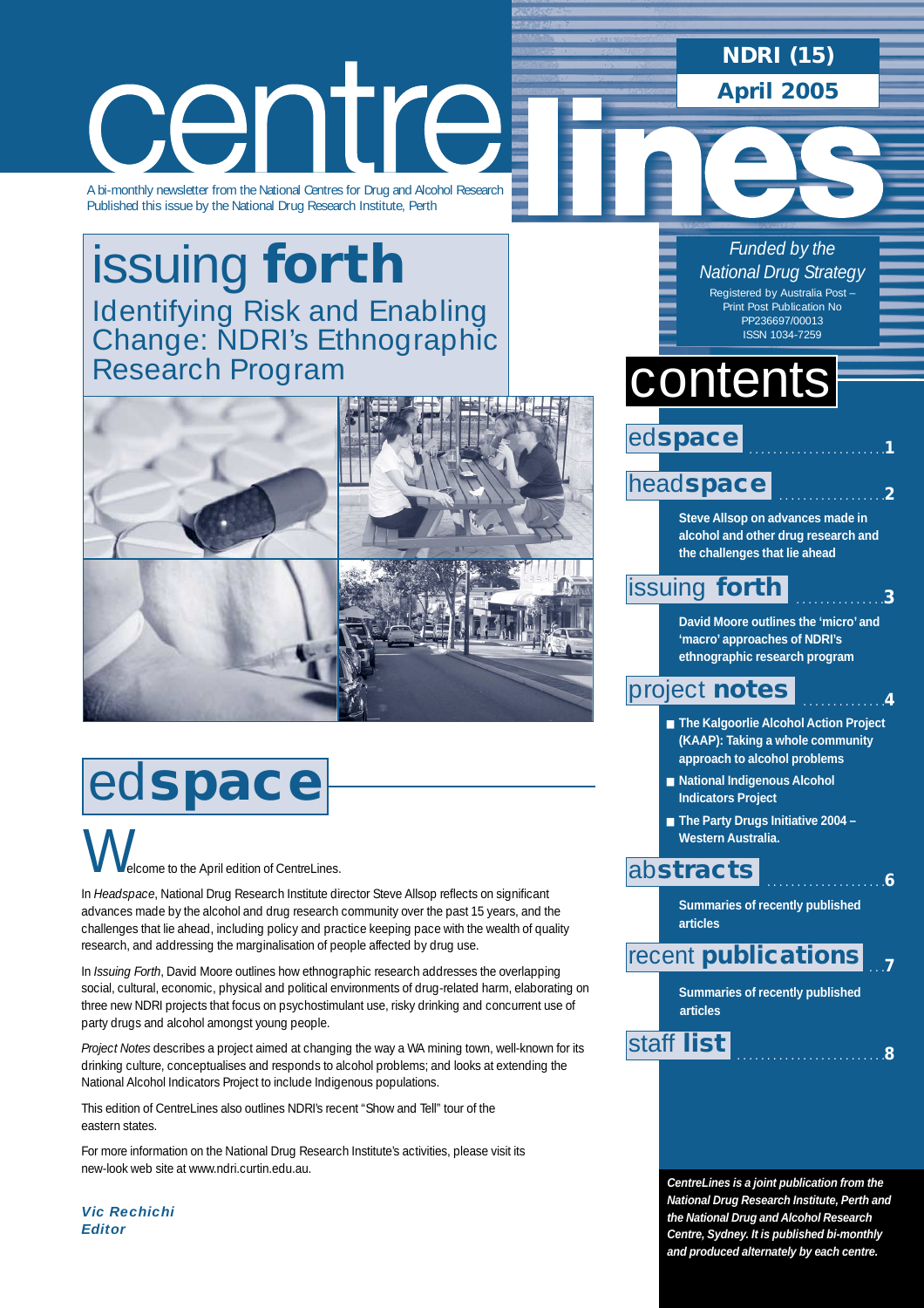# centre

A bi-monthly newsletter from the National Centres for Drug and Alcohol Research Published this issue by the National Drug Research Institute, Perth

### issuing **forth** Identifying Risk and Enabling [Change: NDRI's Ethnographic](#page-2-0) Research Program





elcome to the April edition of CentreLines.  $\mathsf{W}_{\scriptscriptstyle{\textrm{e}}}$ 

In *Headspace*, National Drug Research Institute director Steve Allsop reflects on significant advances made by the alcohol and drug research community over the past 15 years, and the challenges that lie ahead, including policy and practice keeping pace with the wealth of quality research, and addressing the marginalisation of people affected by drug use.

In *Issuing Forth*, David Moore outlines how ethnographic research addresses the overlapping social, cultural, economic, physical and political environments of drug-related harm, elaborating on three new NDRI projects that focus on psychostimulant use, risky drinking and concurrent use of party drugs and alcohol amongst young people.

*Project Notes* describes a project aimed at changing the way a WA mining town, well-known for its drinking culture, conceptualises and responds to alcohol problems; and looks at extending the National Alcohol Indicators Project to include Indigenous populations.

This edition of CentreLines also outlines NDRI's recent "Show and Tell" tour of the eastern states.

For more information on the National Drug Research Institute's activities, please visit its new-look web site at www.ndri.curtin.edu.au.

*Vic Rechichi Editor*

### **NDRI (15) April 2005**

*Funded by the National Drug Strategy* Registered by Australia Post – Print Post Publication No PP236697/00013 ISSN 1034-7259

# contents

ed**space**

### head**[space](#page-1-0)**

**Steve Allsop on advances made in alcohol and other drug research and the challenges that lie ahead** 

. . . . . . . . . . . . . . . . . . . . . . .**1**

. . . . . . . . . . . . . . . . . .**2**

. . . . . . . . . . . . . .**4**

. . . . . . . . . . . . . . . . . . . .**6**

#### . . . . . . . . . . . . . . .**3** [issuing](#page-2-0) **forth**

**David Moore outlines the 'micro' and 'macro' approaches of NDRI's ethnographic research program**

### [project](#page-3-0) **notes**

- **The Kalgoorlie Alcohol Action Project (KAAP): Taking a whole community approach to alcohol problems**
- **National Indigenous Alcohol Indicators Project**
- **The Party Drugs Initiative 2004 – Western Australia.**

### ab**[stracts](#page-5-0)**

**Summaries of recently published articles** 

#### . . .**7** recent **[publications](#page-6-0)**

**Summaries of recently published articles**

. . . . . . . . . . . . . . . . . . . . . . . . .**<sup>8</sup>** [staff](#page-7-0) **list**

**CentreLines is a joint publication from the National Drug Research Institute, Perth and the National Drug and Alcohol Research Centre, Sydney. It is published bi-monthly and produced alternately by each centre.**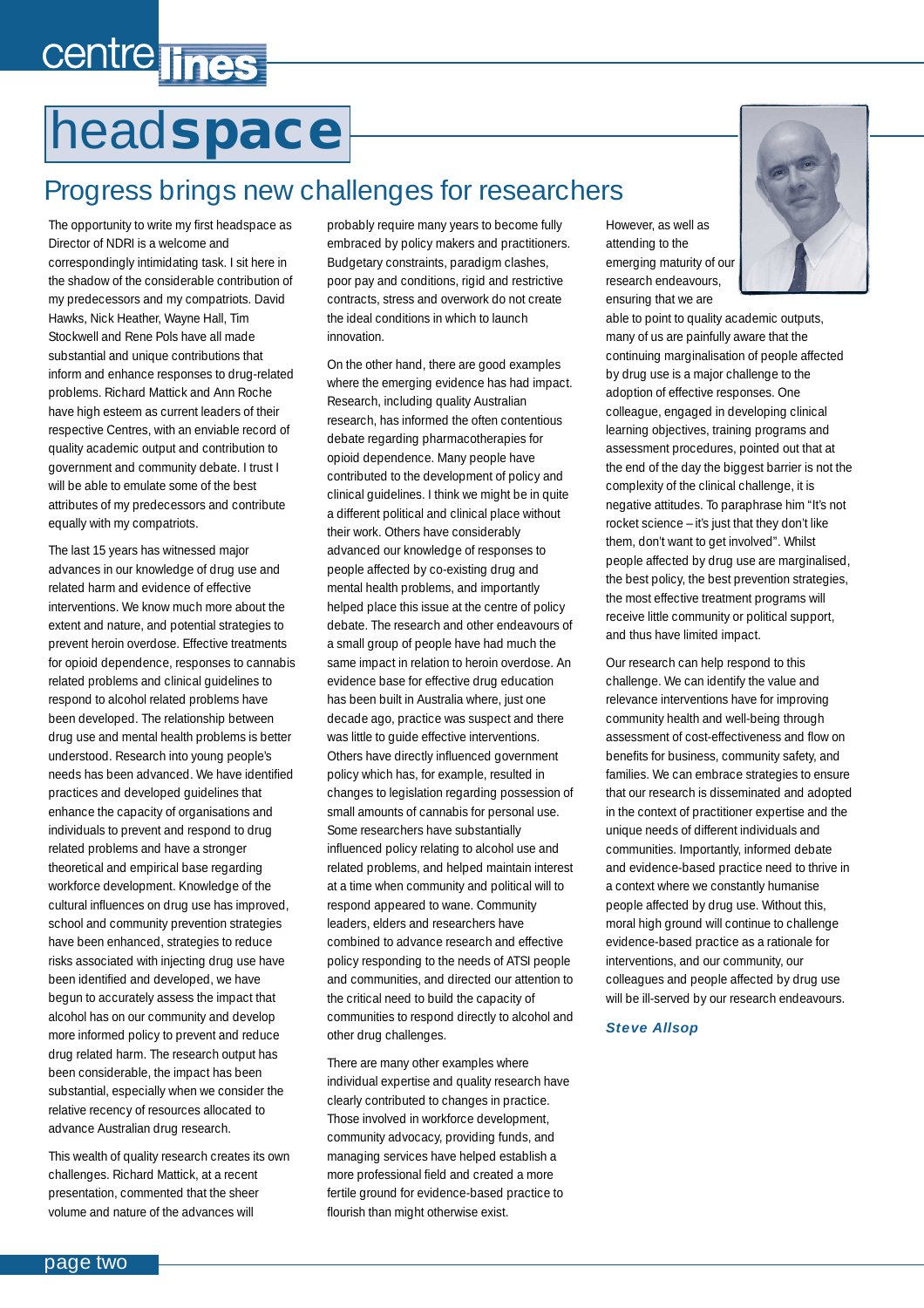# <span id="page-1-0"></span>centre lines

# head**space**

### Progress brings new challenges for researchers

The opportunity to write my first headspace as Director of NDRI is a welcome and correspondingly intimidating task. I sit here in the shadow of the considerable contribution of my predecessors and my compatriots. David Hawks, Nick Heather, Wayne Hall, Tim Stockwell and Rene Pols have all made substantial and unique contributions that inform and enhance responses to drug-related problems. Richard Mattick and Ann Roche have high esteem as current leaders of their respective Centres, with an enviable record of quality academic output and contribution to government and community debate. I trust I will be able to emulate some of the best attributes of my predecessors and contribute equally with my compatriots.

The last 15 years has witnessed major advances in our knowledge of drug use and related harm and evidence of effective interventions. We know much more about the extent and nature, and potential strategies to prevent heroin overdose. Effective treatments for opioid dependence, responses to cannabis related problems and clinical guidelines to respond to alcohol related problems have been developed. The relationship between drug use and mental health problems is better understood. Research into young people's needs has been advanced. We have identified practices and developed guidelines that enhance the capacity of organisations and individuals to prevent and respond to drug related problems and have a stronger theoretical and empirical base regarding workforce development. Knowledge of the cultural influences on drug use has improved, school and community prevention strategies have been enhanced, strategies to reduce risks associated with injecting drug use have been identified and developed, we have begun to accurately assess the impact that alcohol has on our community and develop more informed policy to prevent and reduce drug related harm. The research output has been considerable, the impact has been substantial, especially when we consider the relative recency of resources allocated to advance Australian drug research.

This wealth of quality research creates its own challenges. Richard Mattick, at a recent presentation, commented that the sheer volume and nature of the advances will

probably require many years to become fully embraced by policy makers and practitioners. Budgetary constraints, paradigm clashes, poor pay and conditions, rigid and restrictive contracts, stress and overwork do not create the ideal conditions in which to launch innovation.

On the other hand, there are good examples where the emerging evidence has had impact. Research, including quality Australian research, has informed the often contentious debate regarding pharmacotherapies for opioid dependence. Many people have contributed to the development of policy and clinical guidelines. I think we might be in quite a different political and clinical place without their work. Others have considerably advanced our knowledge of responses to people affected by co-existing drug and mental health problems, and importantly helped place this issue at the centre of policy debate. The research and other endeavours of a small group of people have had much the same impact in relation to heroin overdose. An evidence base for effective drug education has been built in Australia where, just one decade ago, practice was suspect and there was little to guide effective interventions. Others have directly influenced government policy which has, for example, resulted in changes to legislation regarding possession of small amounts of cannabis for personal use. Some researchers have substantially influenced policy relating to alcohol use and related problems, and helped maintain interest at a time when community and political will to respond appeared to wane. Community leaders, elders and researchers have combined to advance research and effective policy responding to the needs of ATSI people and communities, and directed our attention to the critical need to build the capacity of communities to respond directly to alcohol and other drug challenges.

There are many other examples where individual expertise and quality research have clearly contributed to changes in practice. Those involved in workforce development, community advocacy, providing funds, and managing services have helped establish a more professional field and created a more fertile ground for evidence-based practice to flourish than might otherwise exist.

However, as well as attending to the emerging maturity of our research endeavours, ensuring that we are

able to point to quality academic outputs, many of us are painfully aware that the continuing marginalisation of people affected by drug use is a major challenge to the adoption of effective responses. One colleague, engaged in developing clinical learning objectives, training programs and assessment procedures, pointed out that at the end of the day the biggest barrier is not the complexity of the clinical challenge, it is negative attitudes. To paraphrase him "It's not rocket science – it's just that they don't like them, don't want to get involved". Whilst people affected by drug use are marginalised, the best policy, the best prevention strategies, the most effective treatment programs will receive little community or political support, and thus have limited impact.

Our research can help respond to this challenge. We can identify the value and relevance interventions have for improving community health and well-being through assessment of cost-effectiveness and flow on benefits for business, community safety, and families. We can embrace strategies to ensure that our research is disseminated and adopted in the context of practitioner expertise and the unique needs of different individuals and communities. Importantly, informed debate and evidence-based practice need to thrive in a context where we constantly humanise people affected by drug use. Without this, moral high ground will continue to challenge evidence-based practice as a rationale for interventions, and our community, our colleagues and people affected by drug use will be ill-served by our research endeavours.

#### *Steve Allsop*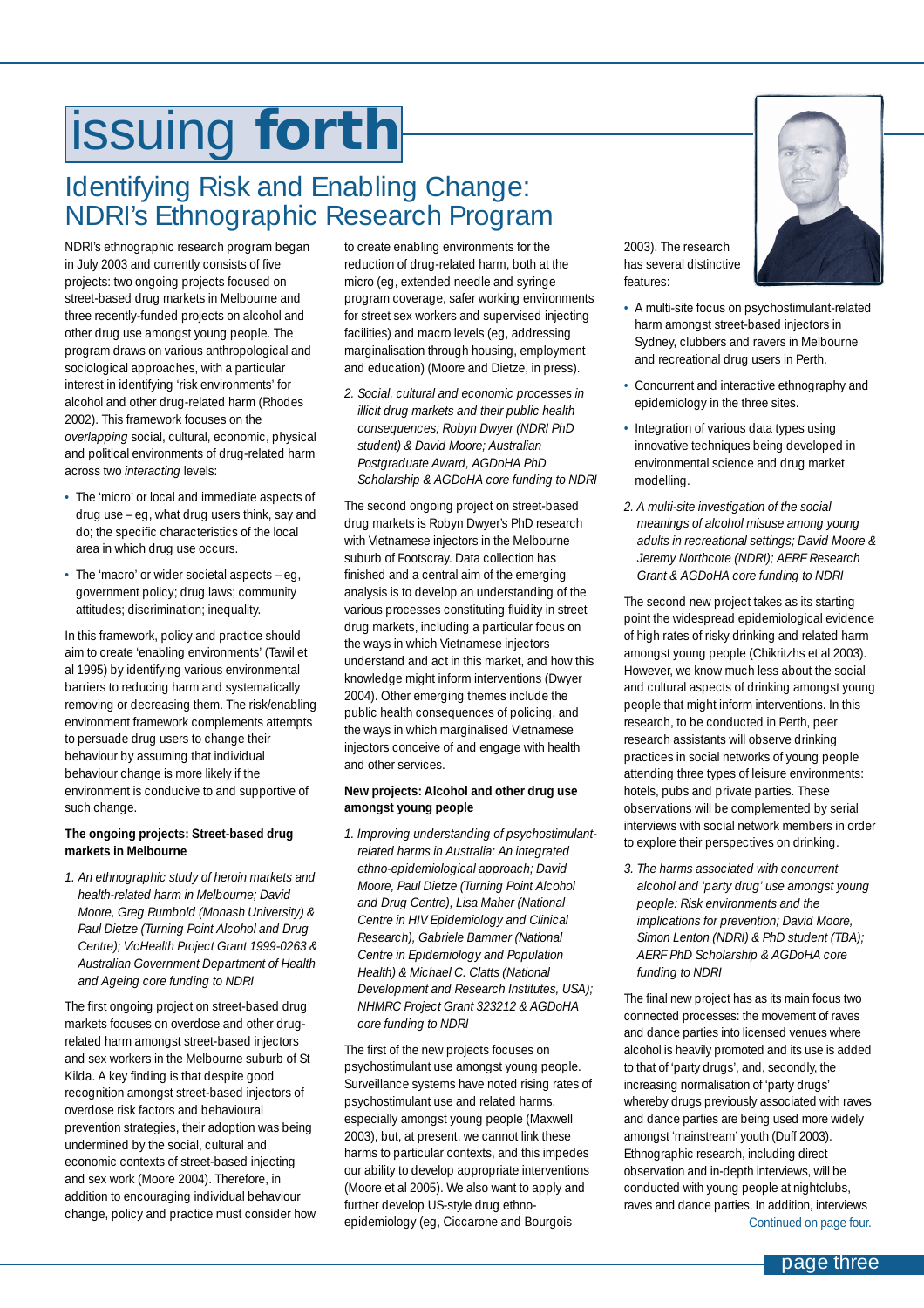# <span id="page-2-0"></span>issuing **forth**

### Identifying Risk and Enabling Change: NDRI's Ethnographic Research Program

NDRI's ethnographic research program began in July 2003 and currently consists of five projects: two ongoing projects focused on street-based drug markets in Melbourne and three recently-funded projects on alcohol and other drug use amongst young people. The program draws on various anthropological and sociological approaches, with a particular interest in identifying 'risk environments' for alcohol and other drug-related harm (Rhodes 2002). This framework focuses on the *overlapping* social, cultural, economic, physical and political environments of drug-related harm across two *interacting* levels:

- The 'micro' or local and immediate aspects of drug use – eg, what drug users think, say and do; the specific characteristics of the local area in which drug use occurs.
- The 'macro' or wider societal aspects eq. government policy; drug laws; community attitudes; discrimination; inequality.

In this framework, policy and practice should aim to create 'enabling environments' (Tawil et al 1995) by identifying various environmental barriers to reducing harm and systematically removing or decreasing them. The risk/enabling environment framework complements attempts to persuade drug users to change their behaviour by assuming that individual behaviour change is more likely if the environment is conducive to and supportive of such change.

#### **The ongoing projects: Street-based drug markets in Melbourne**

*1. An ethnographic study of heroin markets and health-related harm in Melbourne; David Moore, Greg Rumbold (Monash University) & Paul Dietze (Turning Point Alcohol and Drug Centre); VicHealth Project Grant 1999-0263 & Australian Government Department of Health and Ageing core funding to NDRI*

The first ongoing project on street-based drug markets focuses on overdose and other drugrelated harm amongst street-based injectors and sex workers in the Melbourne suburb of St Kilda. A key finding is that despite good recognition amongst street-based injectors of overdose risk factors and behavioural prevention strategies, their adoption was being undermined by the social, cultural and economic contexts of street-based injecting and sex work (Moore 2004). Therefore, in addition to encouraging individual behaviour change, policy and practice must consider how to create enabling environments for the reduction of drug-related harm, both at the micro (eg, extended needle and syringe program coverage, safer working environments for street sex workers and supervised injecting facilities) and macro levels (eg, addressing marginalisation through housing, employment and education) (Moore and Dietze, in press).

*2. Social, cultural and economic processes in illicit drug markets and their public health consequences; Robyn Dwyer (NDRI PhD student) & David Moore; Australian Postgraduate Award, AGDoHA PhD Scholarship & AGDoHA core funding to NDRI*

The second ongoing project on street-based drug markets is Robyn Dwyer's PhD research with Vietnamese injectors in the Melbourne suburb of Footscray. Data collection has finished and a central aim of the emerging analysis is to develop an understanding of the various processes constituting fluidity in street drug markets, including a particular focus on the ways in which Vietnamese injectors understand and act in this market, and how this knowledge might inform interventions (Dwyer 2004). Other emerging themes include the public health consequences of policing, and the ways in which marginalised Vietnamese injectors conceive of and engage with health and other services.

#### **New projects: Alcohol and other drug use amongst young people**

*1. Improving understanding of psychostimulantrelated harms in Australia: An integrated ethno-epidemiological approach; David Moore, Paul Dietze (Turning Point Alcohol and Drug Centre), Lisa Maher (National Centre in HIV Epidemiology and Clinical Research), Gabriele Bammer (National Centre in Epidemiology and Population Health) & Michael C. Clatts (National Development and Research Institutes, USA); NHMRC Project Grant 323212 & AGDoHA core funding to NDRI*

The first of the new projects focuses on psychostimulant use amongst young people. Surveillance systems have noted rising rates of psychostimulant use and related harms, especially amongst young people (Maxwell 2003), but, at present, we cannot link these harms to particular contexts, and this impedes our ability to develop appropriate interventions (Moore et al 2005). We also want to apply and further develop US-style drug ethnoepidemiology (eg, Ciccarone and Bourgois

2003). The research has several distinctive features:

- A multi-site focus on psychostimulant-related harm amongst street-based injectors in Sydney, clubbers and ravers in Melbourne and recreational drug users in Perth.
- Concurrent and interactive ethnography and epidemiology in the three sites.
- Integration of various data types using innovative techniques being developed in environmental science and drug market modelling.
- *2. A multi-site investigation of the social meanings of alcohol misuse among young adults in recreational settings; David Moore & Jeremy Northcote (NDRI); AERF Research Grant & AGDoHA core funding to NDRI*

The second new project takes as its starting point the widespread epidemiological evidence of high rates of risky drinking and related harm amongst young people (Chikritzhs et al 2003). However, we know much less about the social and cultural aspects of drinking amongst young people that might inform interventions. In this research, to be conducted in Perth, peer research assistants will observe drinking practices in social networks of young people attending three types of leisure environments: hotels, pubs and private parties. These observations will be complemented by serial interviews with social network members in order to explore their perspectives on drinking.

*3. The harms associated with concurrent alcohol and 'party drug' use amongst young people: Risk environments and the implications for prevention; David Moore, Simon Lenton (NDRI) & PhD student (TBA); AERF PhD Scholarship & AGDoHA core funding to NDRI*

The final new project has as its main focus two connected processes: the movement of raves and dance parties into licensed venues where alcohol is heavily promoted and its use is added to that of 'party drugs', and, secondly, the increasing normalisation of 'party drugs' whereby drugs previously associated with raves and dance parties are being used more widely amongst 'mainstream' youth (Duff 2003). Ethnographic research, including direct observation and in-depth interviews, will be conducted with young people at nightclubs, raves and dance parties. In addition, interviews Continued on page four.

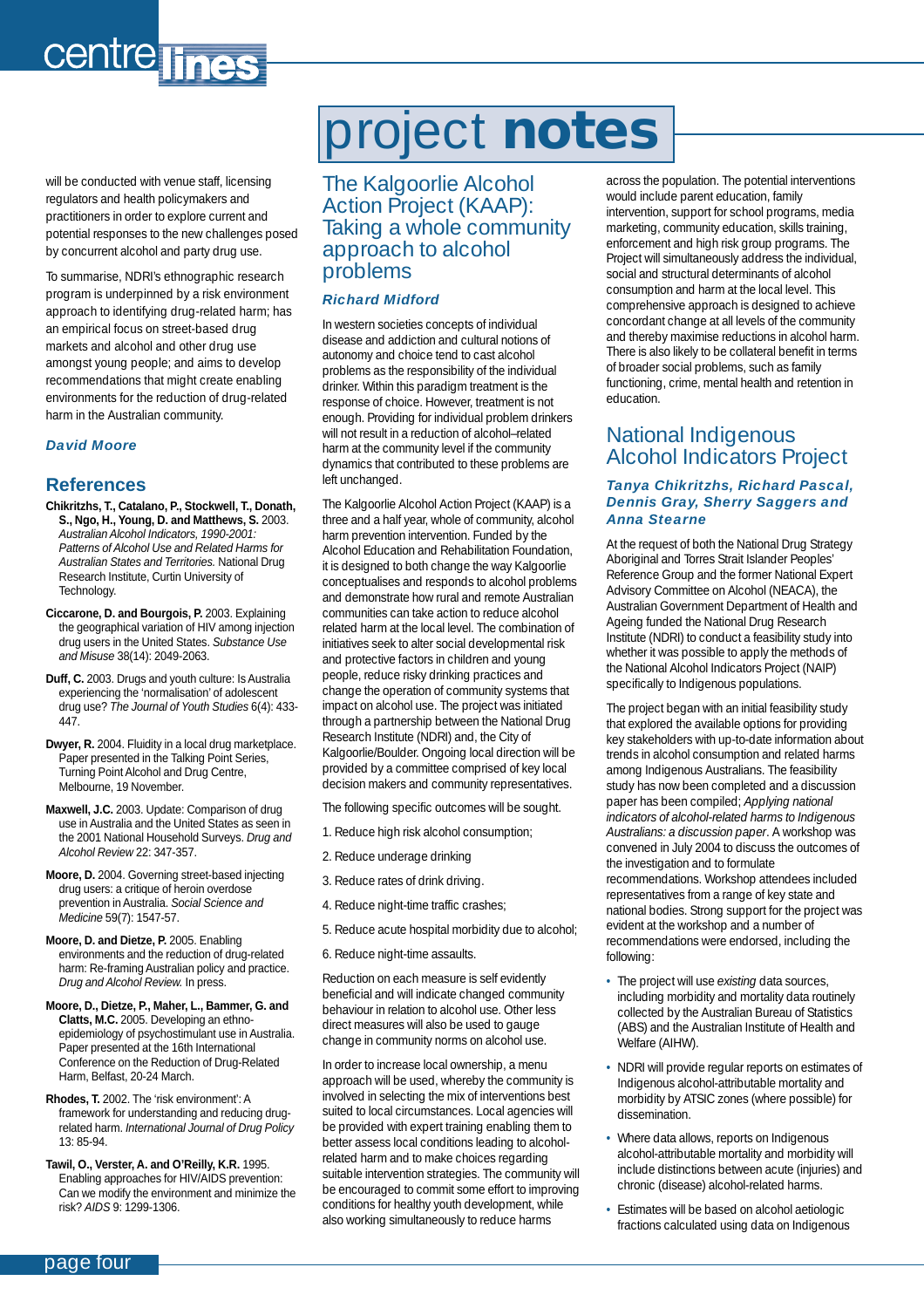# <span id="page-3-0"></span>centre lines

will be conducted with venue staff, licensing regulators and health policymakers and practitioners in order to explore current and potential responses to the new challenges posed by concurrent alcohol and party drug use.

To summarise, NDRI's ethnographic research program is underpinned by a risk environment approach to identifying drug-related harm; has an empirical focus on street-based drug markets and alcohol and other drug use amongst young people; and aims to develop recommendations that might create enabling environments for the reduction of drug-related harm in the Australian community.

#### *David Moore*

### **References**

- **Chikritzhs, T., Catalano, P., Stockwell, T., Donath, S., Ngo, H., Young, D. and Matthews, S.** 2003. Australian Alcohol Indicators, 1990-2001: Patterns of Alcohol Use and Related Harms for Australian States and Territories. National Drug Research Institute, Curtin University of Technology.
- **Ciccarone, D. and Bourgois, P.** 2003. Explaining the geographical variation of HIV among injection drug users in the United States. Substance Use and Misuse 38(14): 2049-2063.
- **Duff, C.** 2003. Drugs and youth culture: Is Australia experiencing the 'normalisation' of adolescent drug use? The Journal of Youth Studies 6(4): 433- 447.
- **Dwyer, R.** 2004. Fluidity in a local drug marketplace. Paper presented in the Talking Point Series, Turning Point Alcohol and Drug Centre, Melbourne, 19 November.
- **Maxwell, J.C.** 2003. Update: Comparison of drug use in Australia and the United States as seen in the 2001 National Household Surveys. Drug and Alcohol Review 22: 347-357.
- **Moore, D.** 2004. Governing street-based injecting drug users: a critique of heroin overdose prevention in Australia. Social Science and Medicine 59(7): 1547-57.
- **Moore, D. and Dietze, P.** 2005. Enabling environments and the reduction of drug-related harm: Re-framing Australian policy and practice. Drug and Alcohol Review. In press.
- **Moore, D., Dietze, P., Maher, L., Bammer, G. and Clatts, M.C.** 2005. Developing an ethnoepidemiology of psychostimulant use in Australia. Paper presented at the 16th International Conference on the Reduction of Drug-Related Harm, Belfast, 20-24 March.
- **Rhodes, T.** 2002. The 'risk environment': A framework for understanding and reducing drugrelated harm. International Journal of Drug Policy 13: 85-94.
- **Tawil, O., Verster, A. and O'Reilly, K.R.** 1995. Enabling approaches for HIV/AIDS prevention: Can we modify the environment and minimize the risk? AIDS 9: 1299-1306.

# project **notes**

The Kalgoorlie Alcohol Action Project (KAAP): Taking a whole community approach to alcohol problems

### *Richard Midford*

In western societies concepts of individual disease and addiction and cultural notions of autonomy and choice tend to cast alcohol problems as the responsibility of the individual drinker. Within this paradigm treatment is the response of choice. However, treatment is not enough. Providing for individual problem drinkers will not result in a reduction of alcohol–related harm at the community level if the community dynamics that contributed to these problems are left unchanged.

The Kalgoorlie Alcohol Action Project (KAAP) is a three and a half year, whole of community, alcohol harm prevention intervention. Funded by the Alcohol Education and Rehabilitation Foundation, it is designed to both change the way Kalgoorlie conceptualises and responds to alcohol problems and demonstrate how rural and remote Australian communities can take action to reduce alcohol related harm at the local level. The combination of initiatives seek to alter social developmental risk and protective factors in children and young people, reduce risky drinking practices and change the operation of community systems that impact on alcohol use. The project was initiated through a partnership between the National Drug Research Institute (NDRI) and, the City of Kalgoorlie/Boulder. Ongoing local direction will be provided by a committee comprised of key local decision makers and community representatives.

The following specific outcomes will be sought.

- 1. Reduce high risk alcohol consumption;
- 2. Reduce underage drinking
- 3. Reduce rates of drink driving.
- 4. Reduce night-time traffic crashes;
- 5. Reduce acute hospital morbidity due to alcohol;
- 6. Reduce night-time assaults.

Reduction on each measure is self evidently beneficial and will indicate changed community behaviour in relation to alcohol use. Other less direct measures will also be used to gauge change in community norms on alcohol use.

In order to increase local ownership, a menu approach will be used, whereby the community is involved in selecting the mix of interventions best suited to local circumstances. Local agencies will be provided with expert training enabling them to better assess local conditions leading to alcoholrelated harm and to make choices regarding suitable intervention strategies. The community will be encouraged to commit some effort to improving conditions for healthy youth development, while also working simultaneously to reduce harms

across the population. The potential interventions would include parent education, family intervention, support for school programs, media marketing, community education, skills training, enforcement and high risk group programs. The Project will simultaneously address the individual, social and structural determinants of alcohol consumption and harm at the local level. This comprehensive approach is designed to achieve concordant change at all levels of the community and thereby maximise reductions in alcohol harm. There is also likely to be collateral benefit in terms of broader social problems, such as family functioning, crime, mental health and retention in education.

### National Indigenous Alcohol Indicators Project

#### *Tanya Chikritzhs, Richard Pascal, Dennis Gray, Sherry Saggers and Anna Stearne*

At the request of both the National Drug Strategy Aboriginal and Torres Strait Islander Peoples' Reference Group and the former National Expert Advisory Committee on Alcohol (NEACA), the Australian Government Department of Health and Ageing funded the National Drug Research Institute (NDRI) to conduct a feasibility study into whether it was possible to apply the methods of the National Alcohol Indicators Project (NAIP) specifically to Indigenous populations.

The project began with an initial feasibility study that explored the available options for providing key stakeholders with up-to-date information about trends in alcohol consumption and related harms among Indigenous Australians. The feasibility study has now been completed and a discussion paper has been compiled; *Applying national indicators of alcohol-related harms to Indigenous Australians: a discussion paper*. A workshop was convened in July 2004 to discuss the outcomes of the investigation and to formulate recommendations. Workshop attendees included representatives from a range of key state and national bodies. Strong support for the project was evident at the workshop and a number of recommendations were endorsed, including the following:

- The project will use *existing* data sources, including morbidity and mortality data routinely collected by the Australian Bureau of Statistics (ABS) and the Australian Institute of Health and Welfare (AIHW).
- NDRI will provide regular reports on estimates of Indigenous alcohol-attributable mortality and morbidity by ATSIC zones (where possible) for dissemination.
- Where data allows, reports on Indigenous alcohol-attributable mortality and morbidity will include distinctions between acute (injuries) and chronic (disease) alcohol-related harms.
- Estimates will be based on alcohol aetiologic fractions calculated using data on Indigenous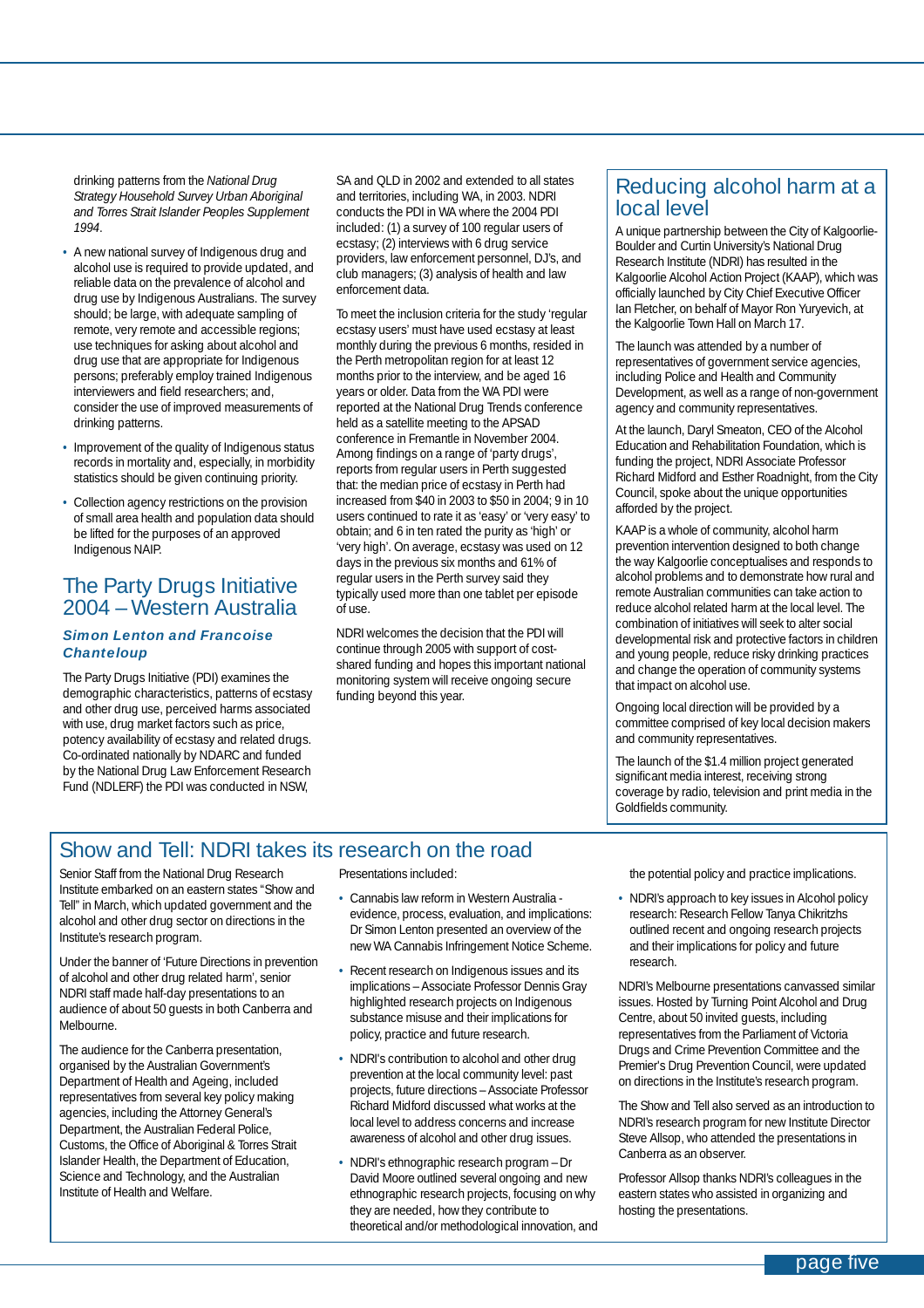drinking patterns from the *National Drug Strategy Household Survey Urban Aboriginal and Torres Strait Islander Peoples Supplement 1994*.

- A new national survey of Indigenous drug and alcohol use is required to provide updated, and reliable data on the prevalence of alcohol and drug use by Indigenous Australians. The survey should; be large, with adequate sampling of remote, very remote and accessible regions; use techniques for asking about alcohol and drug use that are appropriate for Indigenous persons; preferably employ trained Indigenous interviewers and field researchers; and, consider the use of improved measurements of drinking patterns.
- Improvement of the quality of Indigenous status records in mortality and, especially, in morbidity statistics should be given continuing priority.
- Collection agency restrictions on the provision of small area health and population data should be lifted for the purposes of an approved Indigenous NAIP.

### The Party Drugs Initiative 2004 – Western Australia

#### *Simon Lenton and Francoise Chanteloup*

The Party Drugs Initiative (PDI) examines the demographic characteristics, patterns of ecstasy and other drug use, perceived harms associated with use, drug market factors such as price, potency availability of ecstasy and related drugs. Co-ordinated nationally by NDARC and funded by the National Drug Law Enforcement Research Fund (NDLERF) the PDI was conducted in NSW,

SA and OLD in 2002 and extended to all states and territories, including WA, in 2003. NDRI conducts the PDI in WA where the 2004 PDI included: (1) a survey of 100 regular users of ecstasy; (2) interviews with 6 drug service providers, law enforcement personnel, DJ's, and club managers; (3) analysis of health and law enforcement data.

To meet the inclusion criteria for the study 'regular ecstasy users' must have used ecstasy at least monthly during the previous 6 months, resided in the Perth metropolitan region for at least 12 months prior to the interview, and be aged 16 years or older. Data from the WA PDI were reported at the National Drug Trends conference held as a satellite meeting to the APSAD conference in Fremantle in November 2004. Among findings on a range of 'party drugs', reports from regular users in Perth suggested that: the median price of ecstasy in Perth had increased from \$40 in 2003 to \$50 in 2004; 9 in 10 users continued to rate it as 'easy' or 'very easy' to obtain; and 6 in ten rated the purity as 'high' or 'very high'. On average, ecstasy was used on 12 days in the previous six months and 61% of regular users in the Perth survey said they typically used more than one tablet per episode of use.

NDRI welcomes the decision that the PDI will continue through 2005 with support of costshared funding and hopes this important national monitoring system will receive ongoing secure funding beyond this year.

### Reducing alcohol harm at a local level

A unique partnership between the City of Kalgoorlie-Boulder and Curtin University's National Drug Research Institute (NDRI) has resulted in the Kalgoorlie Alcohol Action Project (KAAP), which was officially launched by City Chief Executive Officer Ian Fletcher, on behalf of Mayor Ron Yuryevich, at the Kalgoorlie Town Hall on March 17.

The launch was attended by a number of representatives of government service agencies, including Police and Health and Community Development, as well as a range of non-government agency and community representatives.

At the launch, Daryl Smeaton, CEO of the Alcohol Education and Rehabilitation Foundation, which is funding the project, NDRI Associate Professor Richard Midford and Esther Roadnight, from the City Council, spoke about the unique opportunities afforded by the project.

KAAP is a whole of community, alcohol harm prevention intervention designed to both change the way Kalgoorlie conceptualises and responds to alcohol problems and to demonstrate how rural and remote Australian communities can take action to reduce alcohol related harm at the local level. The combination of initiatives will seek to alter social developmental risk and protective factors in children and young people, reduce risky drinking practices and change the operation of community systems that impact on alcohol use.

Ongoing local direction will be provided by a committee comprised of key local decision makers and community representatives.

The launch of the \$1.4 million project generated significant media interest, receiving strong coverage by radio, television and print media in the Goldfields community.

### Show and Tell: NDRI takes its research on the road

Senior Staff from the National Drug Research Institute embarked on an eastern states "Show and Tell" in March, which updated government and the alcohol and other drug sector on directions in the Institute's research program.

Under the banner of 'Future Directions in prevention of alcohol and other drug related harm', senior NDRI staff made half-day presentations to an audience of about 50 guests in both Canberra and Melbourne.

The audience for the Canberra presentation, organised by the Australian Government's Department of Health and Ageing, included representatives from several key policy making agencies, including the Attorney General's Department, the Australian Federal Police, Customs, the Office of Aboriginal & Torres Strait Islander Health, the Department of Education, Science and Technology, and the Australian Institute of Health and Welfare.

Presentations included:

- Cannabis law reform in Western Australia evidence, process, evaluation, and implications: Dr Simon Lenton presented an overview of the new WA Cannabis Infringement Notice Scheme.
- Recent research on Indigenous issues and its implications – Associate Professor Dennis Gray highlighted research projects on Indigenous substance misuse and their implications for policy, practice and future research.
- NDRI's contribution to alcohol and other drug prevention at the local community level: past projects, future directions – Associate Professor Richard Midford discussed what works at the local level to address concerns and increase awareness of alcohol and other drug issues.
- NDRI's ethnographic research program Dr David Moore outlined several ongoing and new ethnographic research projects, focusing on why they are needed, how they contribute to theoretical and/or methodological innovation, and

the potential policy and practice implications.

• NDRI's approach to key issues in Alcohol policy research: Research Fellow Tanya Chikritzhs outlined recent and ongoing research projects and their implications for policy and future research.

NDRI's Melbourne presentations canvassed similar issues. Hosted by Turning Point Alcohol and Drug Centre, about 50 invited guests, including representatives from the Parliament of Victoria Drugs and Crime Prevention Committee and the Premier's Drug Prevention Council, were updated on directions in the Institute's research program.

The Show and Tell also served as an introduction to NDRI's research program for new Institute Director Steve Allsop, who attended the presentations in Canberra as an observer.

Professor Allsop thanks NDRI's colleagues in the eastern states who assisted in organizing and hosting the presentations.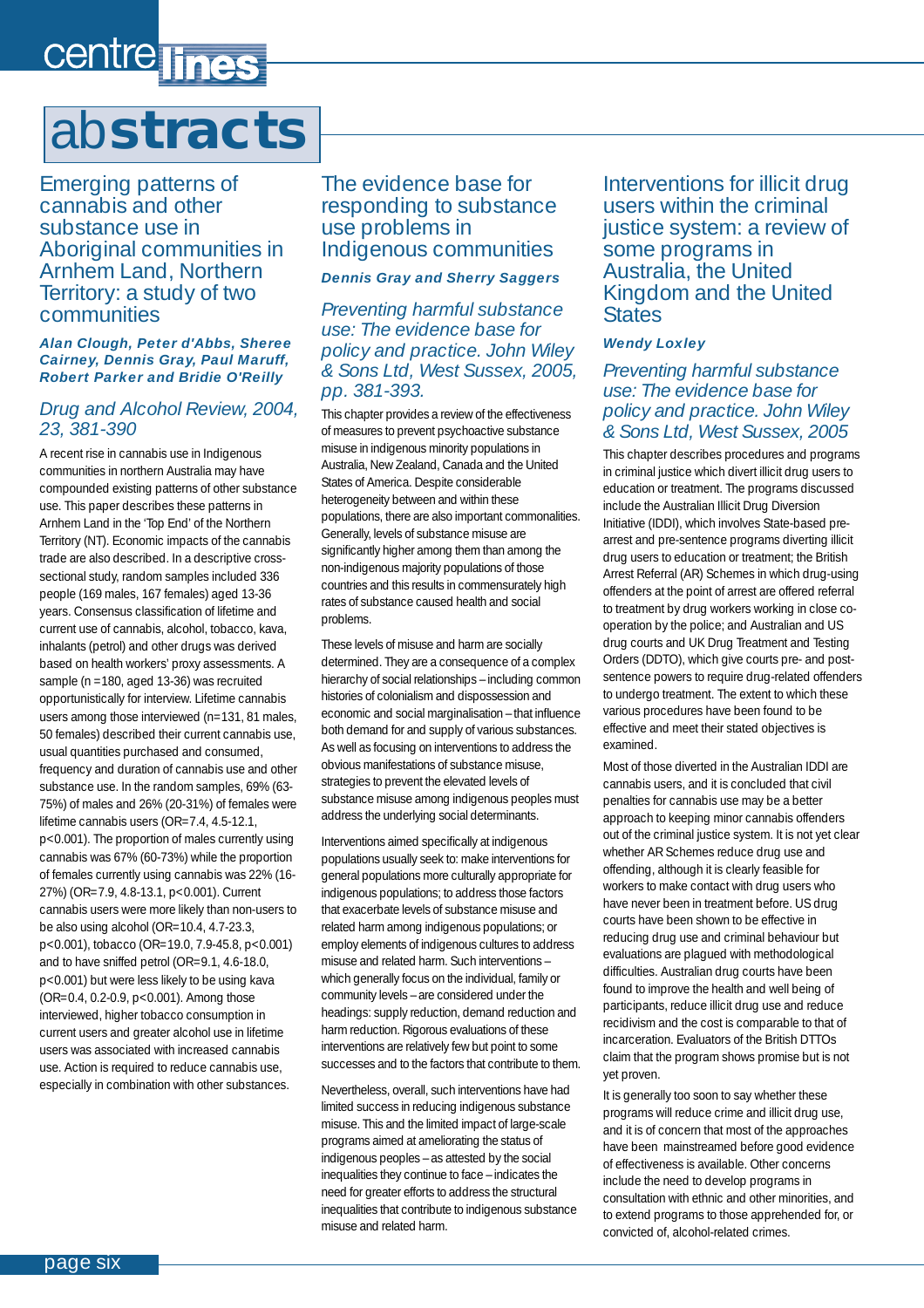# <span id="page-5-0"></span>centre lines

# ab**stracts**

Emerging patterns of cannabis and other substance use in Aboriginal communities in Arnhem Land, Northern Territory: a study of two communities

#### *Alan Clough, Peter d'Abbs, Sheree Cairney, Dennis Gray, Paul Maruff, Robert Parker and Bridie O'Reilly*

### *Drug and Alcohol Review, 2004, 23, 381-390*

A recent rise in cannabis use in Indigenous communities in northern Australia may have compounded existing patterns of other substance use. This paper describes these patterns in Arnhem Land in the 'Top End' of the Northern Territory (NT). Economic impacts of the cannabis trade are also described. In a descriptive crosssectional study, random samples included 336 people (169 males, 167 females) aged 13-36 years. Consensus classification of lifetime and current use of cannabis, alcohol, tobacco, kava, inhalants (petrol) and other drugs was derived based on health workers' proxy assessments. A sample (n =180, aged 13-36) was recruited opportunistically for interview. Lifetime cannabis users among those interviewed (n=131, 81 males, 50 females) described their current cannabis use, usual quantities purchased and consumed, frequency and duration of cannabis use and other substance use. In the random samples, 69% (63- 75%) of males and 26% (20-31%) of females were lifetime cannabis users (OR=7.4, 4.5-12.1, p<0.001). The proportion of males currently using cannabis was 67% (60-73%) while the proportion of females currently using cannabis was 22% (16- 27%) (OR=7.9, 4.8-13.1, p<0.001). Current cannabis users were more likely than non-users to be also using alcohol (OR=10.4, 4.7-23.3, p<0.001), tobacco (OR=19.0, 7.9-45.8, p<0.001) and to have sniffed petrol (OR=9.1, 4.6-18.0, p<0.001) but were less likely to be using kava (OR=0.4, 0.2-0.9, p<0.001). Among those interviewed, higher tobacco consumption in current users and greater alcohol use in lifetime users was associated with increased cannabis use. Action is required to reduce cannabis use, especially in combination with other substances.

The evidence base for responding to substance use problems in Indigenous communities

### *Dennis Gray and Sherry Saggers*

*Preventing harmful substance use: The evidence base for policy and practice. John Wiley & Sons Ltd, West Sussex, 2005, pp. 381-393.*

This chapter provides a review of the effectiveness of measures to prevent psychoactive substance misuse in indigenous minority populations in Australia, New Zealand, Canada and the United States of America. Despite considerable heterogeneity between and within these populations, there are also important commonalities. Generally, levels of substance misuse are significantly higher among them than among the non-indigenous majority populations of those countries and this results in commensurately high rates of substance caused health and social problems.

These levels of misuse and harm are socially determined. They are a consequence of a complex hierarchy of social relationships – including common histories of colonialism and dispossession and economic and social marginalisation – that influence both demand for and supply of various substances. As well as focusing on interventions to address the obvious manifestations of substance misuse, strategies to prevent the elevated levels of substance misuse among indigenous peoples must address the underlying social determinants.

Interventions aimed specifically at indigenous populations usually seek to: make interventions for general populations more culturally appropriate for indigenous populations; to address those factors that exacerbate levels of substance misuse and related harm among indigenous populations; or employ elements of indigenous cultures to address misuse and related harm. Such interventions – which generally focus on the individual, family or community levels – are considered under the headings: supply reduction, demand reduction and harm reduction. Rigorous evaluations of these interventions are relatively few but point to some successes and to the factors that contribute to them.

Nevertheless, overall, such interventions have had limited success in reducing indigenous substance misuse. This and the limited impact of large-scale programs aimed at ameliorating the status of indigenous peoples – as attested by the social inequalities they continue to face – indicates the need for greater efforts to address the structural inequalities that contribute to indigenous substance misuse and related harm.

Interventions for illicit drug users within the criminal justice system: a review of some programs in Australia, the United Kingdom and the United **States** 

### *Wendy Loxley*

### *Preventing harmful substance use: The evidence base for policy and practice. John Wiley & Sons Ltd, West Sussex, 2005*

This chapter describes procedures and programs in criminal justice which divert illicit drug users to education or treatment. The programs discussed include the Australian Illicit Drug Diversion Initiative (IDDI), which involves State-based prearrest and pre-sentence programs diverting illicit drug users to education or treatment; the British Arrest Referral (AR) Schemes in which drug-using offenders at the point of arrest are offered referral to treatment by drug workers working in close cooperation by the police; and Australian and US drug courts and UK Drug Treatment and Testing Orders (DDTO), which give courts pre- and postsentence powers to require drug-related offenders to undergo treatment. The extent to which these various procedures have been found to be effective and meet their stated objectives is examined.

Most of those diverted in the Australian IDDI are cannabis users, and it is concluded that civil penalties for cannabis use may be a better approach to keeping minor cannabis offenders out of the criminal justice system. It is not yet clear whether AR Schemes reduce drug use and offending, although it is clearly feasible for workers to make contact with drug users who have never been in treatment before. US drug courts have been shown to be effective in reducing drug use and criminal behaviour but evaluations are plagued with methodological difficulties. Australian drug courts have been found to improve the health and well being of participants, reduce illicit drug use and reduce recidivism and the cost is comparable to that of incarceration. Evaluators of the British DTTOs claim that the program shows promise but is not yet proven.

It is generally too soon to say whether these programs will reduce crime and illicit drug use, and it is of concern that most of the approaches have been mainstreamed before good evidence of effectiveness is available. Other concerns include the need to develop programs in consultation with ethnic and other minorities, and to extend programs to those apprehended for, or convicted of, alcohol-related crimes.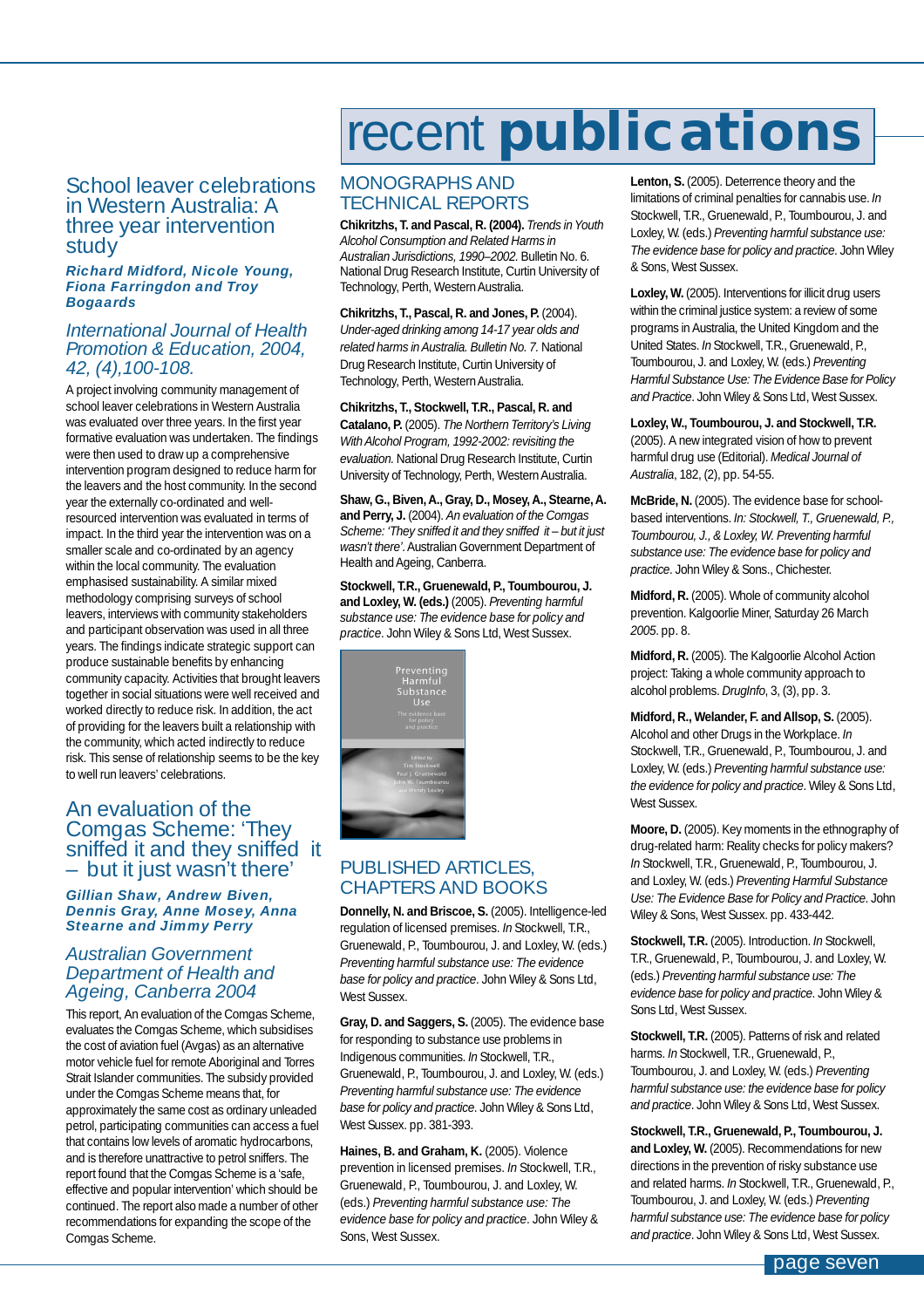### <span id="page-6-0"></span>School leaver celebrations in Western Australia: A three year intervention study

#### *Richard Midford, Nicole Young, Fiona Farringdon and Troy Bogaards*

### *International Journal of Health Promotion & Education, 2004, 42, (4),100-108.*

A project involving community management of school leaver celebrations in Western Australia was evaluated over three years. In the first year formative evaluation was undertaken. The findings were then used to draw up a comprehensive intervention program designed to reduce harm for the leavers and the host community. In the second year the externally co-ordinated and wellresourced intervention was evaluated in terms of impact. In the third year the intervention was on a smaller scale and co-ordinated by an agency within the local community. The evaluation emphasised sustainability. A similar mixed methodology comprising surveys of school leavers, interviews with community stakeholders and participant observation was used in all three years. The findings indicate strategic support can produce sustainable benefits by enhancing community capacity. Activities that brought leavers together in social situations were well received and worked directly to reduce risk. In addition, the act of providing for the leavers built a relationship with the community, which acted indirectly to reduce risk. This sense of relationship seems to be the key to well run leavers' celebrations.

### An evaluation of the<br>Comgas Scheme: 'They sniffed it and they sniffed it – but it just wasn't there'

#### *Gillian Shaw, Andrew Biven, Dennis Gray, Anne Mosey, Anna Stearne and Jimmy Perry*

### *Australian Government Department of Health and Ageing, Canberra 2004*

This report, An evaluation of the Comgas Scheme, evaluates the Comgas Scheme, which subsidises the cost of aviation fuel (Avgas) as an alternative motor vehicle fuel for remote Aboriginal and Torres Strait Islander communities. The subsidy provided under the Comgas Scheme means that, for approximately the same cost as ordinary unleaded petrol, participating communities can access a fuel that contains low levels of aromatic hydrocarbons, and is therefore unattractive to petrol sniffers. The report found that the Comgas Scheme is a 'safe, effective and popular intervention' which should be continued. The report also made a number of other recommendations for expanding the scope of the Comgas Scheme.

# recent **publications**

### MONOGRAPHS AND TECHNICAL REPORTS

**Chikritzhs, T. and Pascal, R. (2004).** Trends in Youth Alcohol Consumption and Related Harms in Australian Jurisdictions, 1990–2002. Bulletin No. 6. National Drug Research Institute, Curtin University of Technology, Perth, Western Australia.

**Chikritzhs, T., Pascal, R. and Jones, P.** (2004). Under-aged drinking among 14-17 year olds and related harms in Australia. Bulletin No. 7. National Drug Research Institute, Curtin University of Technology, Perth, Western Australia.

**Chikritzhs, T., Stockwell, T.R., Pascal, R. and Catalano, P.** (2005). The Northern Territory's Living With Alcohol Program, 1992-2002: revisiting the evaluation. National Drug Research Institute, Curtin University of Technology, Perth, Western Australia.

**Shaw, G., Biven, A., Gray, D., Mosey, A., Stearne, A. and Perry, J.** (2004). An evaluation of the Comgas Scheme: 'They sniffed it and they sniffed it – but it just wasn't there'. Australian Government Department of Health and Ageing, Canberra.

**Stockwell, T.R., Gruenewald, P., Toumbourou, J. and Loxley, W. (eds.)** (2005). *Preventing harmful substance use: The evidence base for policy and practice*. John Wiley & Sons Ltd, West Sussex.



### PUBLISHED ARTICLES, CHAPTERS AND BOOKS

**Donnelly, N. and Briscoe, S.** (2005). Intelligence-led regulation of licensed premises. In Stockwell, T.R., Gruenewald, P., Toumbourou, J. and Loxley, W. (eds.) Preventing harmful substance use: The evidence base for policy and practice. John Wiley & Sons Ltd, West Sussex.

**Gray, D. and Saggers, S.** (2005). The evidence base for responding to substance use problems in Indigenous communities. *In* Stockwell, T.R., Gruenewald, P., Toumbourou, J. and Loxley, W. (eds.) Preventing harmful substance use: The evidence base for policy and practice. John Wiley & Sons Ltd. West Sussex. pp. 381-393.

**Haines, B. and Graham, K.** (2005). Violence prevention in licensed premises. In Stockwell, T.R., Gruenewald, P., Toumbourou, J. and Loxley, W. (eds.) Preventing harmful substance use: The evidence base for policy and practice. John Wiley & Sons, West Sussex.

**Lenton, S.** (2005). Deterrence theory and the limitations of criminal penalties for cannabis use. In Stockwell, T.R., Gruenewald, P., Toumbourou, J. and Loxley, W. (eds.) Preventing harmful substance use: The evidence base for policy and practice. John Wiley & Sons, West Sussex.

Loxley, W. (2005). Interventions for illicit drug users within the criminal justice system: a review of some programs in Australia, the United Kingdom and the United States. In Stockwell, T.R., Gruenewald, P., Toumbourou, J. and Loxley, W. (eds.) Preventing Harmful Substance Use: The Evidence Base for Policy and Practice. John Wiley & Sons Ltd, West Sussex.

**Loxley, W., Toumbourou, J. and Stockwell, T.R.** (2005). A new integrated vision of how to prevent harmful drug use (Editorial). Medical Journal of Australia, 182, (2), pp. 54-55.

**McBride, N.** (2005). The evidence base for schoolbased interventions. In: Stockwell, T., Gruenewald, P., Toumbourou, J., & Loxley, W. Preventing harmful substance use: The evidence base for policy and practice. John Wiley & Sons., Chichester.

**Midford, R.** (2005). Whole of community alcohol prevention. Kalgoorlie Miner, Saturday 26 March 2005. pp. 8.

**Midford, R.** (2005). The Kalgoorlie Alcohol Action project: Taking a whole community approach to alcohol problems. DrugInfo, 3, (3), pp. 3.

**Midford, R., Welander, F. and Allsop, S.** (2005). Alcohol and other Drugs in the Workplace. In Stockwell, T.R., Gruenewald, P., Toumbourou, J. and Loxley, W. (eds.) Preventing harmful substance use: the evidence for policy and practice. Wiley & Sons Ltd, West Sussex.

**Moore, D.** (2005). Key moments in the ethnography of drug-related harm: Reality checks for policy makers? In Stockwell, T.R., Gruenewald, P., Toumbourou, J. and Loxley, W. (eds.) Preventing Harmful Substance Use: The Evidence Base for Policy and Practice. John Wiley & Sons, West Sussex. pp. 433-442.

**Stockwell, T.R.** (2005). Introduction. In Stockwell, T.R., Gruenewald, P., Toumbourou, J. and Loxley, W. (eds.) Preventing harmful substance use: The evidence base for policy and practice. John Wiley & Sons Ltd, West Sussex.

**Stockwell, T.R.** (2005). Patterns of risk and related harms. **In** Stockwell, T.R., Gruenewald, P., Toumbourou, J. and Loxley, W. (eds.) Preventing harmful substance use: the evidence base for policy and practice. John Wiley & Sons Ltd, West Sussex.

**Stockwell, T.R., Gruenewald, P., Toumbourou, J. and Loxley, W.** (2005). Recommendations for new directions in the prevention of risky substance use and related harms. **In** Stockwell, T.R., Gruenewald, P., Toumbourou, J. and Loxley, W. (eds.) Preventing harmful substance use: The evidence base for policy and practice. John Wiley & Sons Ltd, West Sussex.